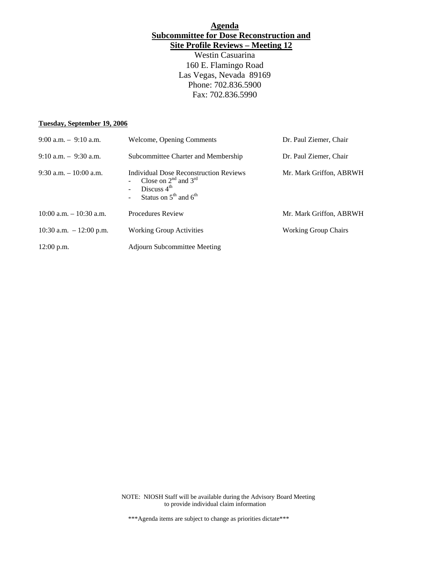## **Agenda Subcommittee for Dose Reconstruction and Site Profile Reviews – Meeting 12**

Westin Casuarina 160 E. Flamingo Road Las Vegas, Nevada 89169 Phone: 702.836.5900 Fax: 702.836.5990

### **Tuesday, September 19, 2006**

| $9:00$ a.m. $-9:10$ a.m.   | Welcome, Opening Comments                                                                                              | Dr. Paul Ziemer, Chair      |
|----------------------------|------------------------------------------------------------------------------------------------------------------------|-----------------------------|
| $9:10$ a.m. $-9:30$ a.m.   | Subcommittee Charter and Membership                                                                                    | Dr. Paul Ziemer, Chair      |
| $9:30$ a.m. $-10:00$ a.m.  | Individual Dose Reconstruction Reviews<br>Close on $2^{nd}$ and $3^{rd}$<br>Discuss $4th$<br>Status on $5th$ and $6th$ | Mr. Mark Griffon, ABRWH     |
| $10:00$ a.m. $-10:30$ a.m. | Procedures Review                                                                                                      | Mr. Mark Griffon, ABRWH     |
| 10:30 a.m. $-12:00$ p.m.   | <b>Working Group Activities</b>                                                                                        | <b>Working Group Chairs</b> |
| $12:00$ p.m.               | <b>Adjourn Subcommittee Meeting</b>                                                                                    |                             |

NOTE: NIOSH Staff will be available during the Advisory Board Meeting to provide individual claim information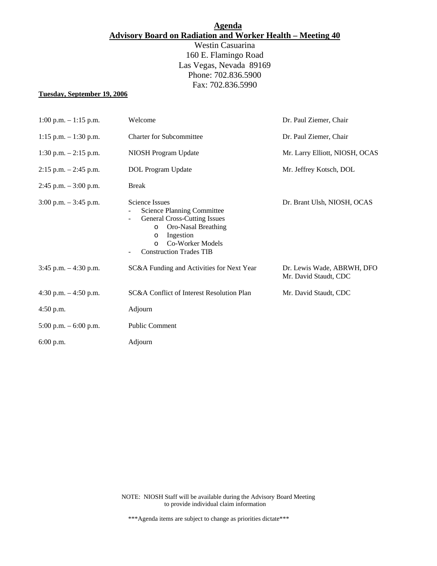# **Agenda Advisory Board on Radiation and Worker Health – Meeting 40**

Westin Casuarina 160 E. Flamingo Road Las Vegas, Nevada 89169 Phone: 702.836.5900 Fax: 702.836.5990

#### **Tuesday, September 19, 2006**

| $1:00$ p.m. $-1:15$ p.m. | Welcome                                                                                                                                                                                                                                                   | Dr. Paul Ziemer, Chair                              |
|--------------------------|-----------------------------------------------------------------------------------------------------------------------------------------------------------------------------------------------------------------------------------------------------------|-----------------------------------------------------|
| $1:15$ p.m. $-1:30$ p.m. | <b>Charter for Subcommittee</b>                                                                                                                                                                                                                           | Dr. Paul Ziemer, Chair                              |
| $1:30$ p.m. $-2:15$ p.m. | NIOSH Program Update                                                                                                                                                                                                                                      | Mr. Larry Elliott, NIOSH, OCAS                      |
| $2:15$ p.m. $-2:45$ p.m. | DOL Program Update                                                                                                                                                                                                                                        | Mr. Jeffrey Kotsch, DOL                             |
| $2:45$ p.m. $-3:00$ p.m. | <b>Break</b>                                                                                                                                                                                                                                              |                                                     |
| $3:00$ p.m. $-3:45$ p.m. | <b>Science Issues</b><br><b>Science Planning Committee</b><br><b>General Cross-Cutting Issues</b><br>$\overline{\phantom{0}}$<br>Oro-Nasal Breathing<br>$\circ$<br>Ingestion<br>$\circ$<br>Co-Worker Models<br>$\Omega$<br><b>Construction Trades TIB</b> | Dr. Brant Ulsh, NIOSH, OCAS                         |
| $3:45$ p.m. $-4:30$ p.m. | SC&A Funding and Activities for Next Year                                                                                                                                                                                                                 | Dr. Lewis Wade, ABRWH, DFO<br>Mr. David Staudt, CDC |
| 4:30 p.m. $-4:50$ p.m.   | SC&A Conflict of Interest Resolution Plan                                                                                                                                                                                                                 | Mr. David Staudt, CDC                               |
| $4:50$ p.m.              | Adjourn                                                                                                                                                                                                                                                   |                                                     |
| 5:00 p.m. $-$ 6:00 p.m.  | Public Comment                                                                                                                                                                                                                                            |                                                     |
| $6:00$ p.m.              | Adjourn                                                                                                                                                                                                                                                   |                                                     |

NOTE: NIOSH Staff will be available during the Advisory Board Meeting to provide individual claim information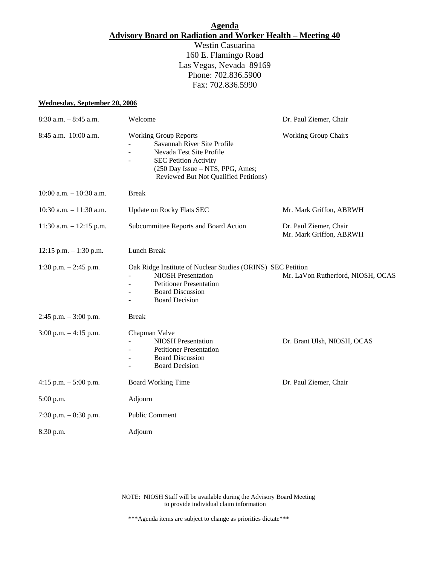## **Agenda Advisory Board on Radiation and Worker Health – Meeting 40**

Westin Casuarina 160 E. Flamingo Road Las Vegas, Nevada 89169 Phone: 702.836.5900 Fax: 702.836.5990

#### **Wednesday, September 20, 2006**

| $8:30$ a.m. $-8:45$ a.m.   | Welcome                                                                                                                                                                                              | Dr. Paul Ziemer, Chair                            |
|----------------------------|------------------------------------------------------------------------------------------------------------------------------------------------------------------------------------------------------|---------------------------------------------------|
| 8:45 a.m. 10:00 a.m.       | <b>Working Group Reports</b><br>Savannah River Site Profile<br>Nevada Test Site Profile<br><b>SEC Petition Activity</b><br>(250 Day Issue - NTS, PPG, Ames;<br>Reviewed But Not Qualified Petitions) | <b>Working Group Chairs</b>                       |
| $10:00$ a.m. $-10:30$ a.m. | <b>Break</b>                                                                                                                                                                                         |                                                   |
| 10:30 a.m. $-11:30$ a.m.   | <b>Update on Rocky Flats SEC</b>                                                                                                                                                                     | Mr. Mark Griffon, ABRWH                           |
| 11:30 a.m. $- 12:15$ p.m.  | Subcommittee Reports and Board Action                                                                                                                                                                | Dr. Paul Ziemer, Chair<br>Mr. Mark Griffon, ABRWH |
| $12:15$ p.m. $-1:30$ p.m.  | Lunch Break                                                                                                                                                                                          |                                                   |
| 1:30 p.m. $-2:45$ p.m.     | Oak Ridge Institute of Nuclear Studies (ORINS) SEC Petition<br><b>NIOSH Presentation</b><br><b>Petitioner Presentation</b><br><b>Board Discussion</b><br><b>Board Decision</b>                       | Mr. LaVon Rutherford, NIOSH, OCAS                 |
| $2:45$ p.m. $-3:00$ p.m.   | <b>Break</b>                                                                                                                                                                                         |                                                   |
| $3:00$ p.m. $-4:15$ p.m.   | Chapman Valve<br><b>NIOSH Presentation</b><br><b>Petitioner Presentation</b><br><b>Board Discussion</b><br><b>Board Decision</b>                                                                     | Dr. Brant Ulsh, NIOSH, OCAS                       |
| 4:15 p.m. $-5:00$ p.m.     | <b>Board Working Time</b>                                                                                                                                                                            | Dr. Paul Ziemer, Chair                            |
| 5:00 p.m.                  | Adjourn                                                                                                                                                                                              |                                                   |
| 7:30 p.m. $-8:30$ p.m.     | Public Comment                                                                                                                                                                                       |                                                   |
| 8:30 p.m.                  | Adjourn                                                                                                                                                                                              |                                                   |

NOTE: NIOSH Staff will be available during the Advisory Board Meeting to provide individual claim information